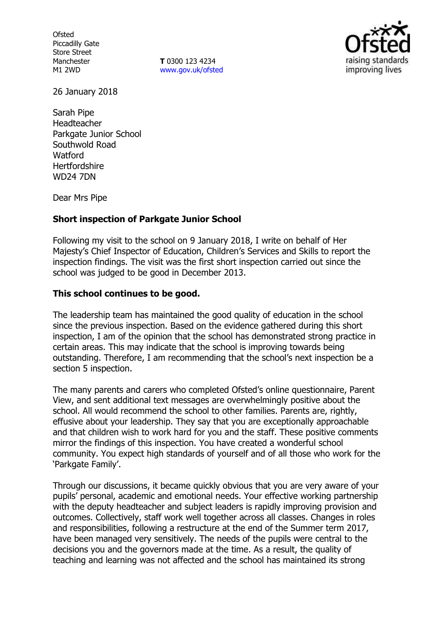**Ofsted** Piccadilly Gate Store Street Manchester M1 2WD

**T** 0300 123 4234 www.gov.uk/ofsted



26 January 2018

Sarah Pipe Headteacher Parkgate Junior School Southwold Road **Watford Hertfordshire** WD24 7DN

Dear Mrs Pipe

## **Short inspection of Parkgate Junior School**

Following my visit to the school on 9 January 2018, I write on behalf of Her Majesty's Chief Inspector of Education, Children's Services and Skills to report the inspection findings. The visit was the first short inspection carried out since the school was judged to be good in December 2013.

## **This school continues to be good.**

The leadership team has maintained the good quality of education in the school since the previous inspection. Based on the evidence gathered during this short inspection, I am of the opinion that the school has demonstrated strong practice in certain areas. This may indicate that the school is improving towards being outstanding. Therefore, I am recommending that the school's next inspection be a section 5 inspection.

The many parents and carers who completed Ofsted's online questionnaire, Parent View, and sent additional text messages are overwhelmingly positive about the school. All would recommend the school to other families. Parents are, rightly, effusive about your leadership. They say that you are exceptionally approachable and that children wish to work hard for you and the staff. These positive comments mirror the findings of this inspection. You have created a wonderful school community. You expect high standards of yourself and of all those who work for the 'Parkgate Family'.

Through our discussions, it became quickly obvious that you are very aware of your pupils' personal, academic and emotional needs. Your effective working partnership with the deputy headteacher and subject leaders is rapidly improving provision and outcomes. Collectively, staff work well together across all classes. Changes in roles and responsibilities, following a restructure at the end of the Summer term 2017, have been managed very sensitively. The needs of the pupils were central to the decisions you and the governors made at the time. As a result, the quality of teaching and learning was not affected and the school has maintained its strong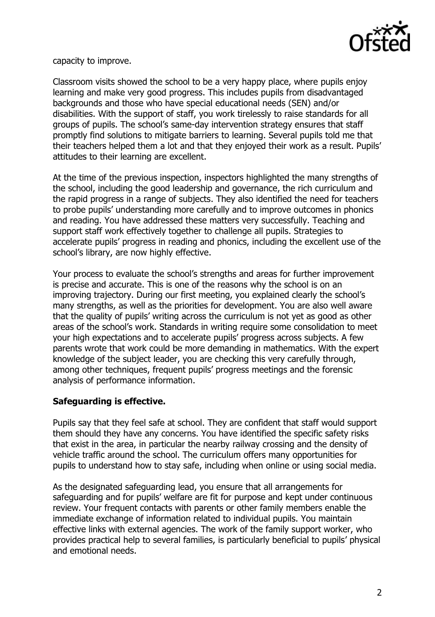

capacity to improve.

Classroom visits showed the school to be a very happy place, where pupils enjoy learning and make very good progress. This includes pupils from disadvantaged backgrounds and those who have special educational needs (SEN) and/or disabilities. With the support of staff, you work tirelessly to raise standards for all groups of pupils. The school's same-day intervention strategy ensures that staff promptly find solutions to mitigate barriers to learning. Several pupils told me that their teachers helped them a lot and that they enjoyed their work as a result. Pupils' attitudes to their learning are excellent.

At the time of the previous inspection, inspectors highlighted the many strengths of the school, including the good leadership and governance, the rich curriculum and the rapid progress in a range of subjects. They also identified the need for teachers to probe pupils' understanding more carefully and to improve outcomes in phonics and reading. You have addressed these matters very successfully. Teaching and support staff work effectively together to challenge all pupils. Strategies to accelerate pupils' progress in reading and phonics, including the excellent use of the school's library, are now highly effective.

Your process to evaluate the school's strengths and areas for further improvement is precise and accurate. This is one of the reasons why the school is on an improving trajectory. During our first meeting, you explained clearly the school's many strengths, as well as the priorities for development. You are also well aware that the quality of pupils' writing across the curriculum is not yet as good as other areas of the school's work. Standards in writing require some consolidation to meet your high expectations and to accelerate pupils' progress across subjects. A few parents wrote that work could be more demanding in mathematics. With the expert knowledge of the subject leader, you are checking this very carefully through, among other techniques, frequent pupils' progress meetings and the forensic analysis of performance information.

# **Safeguarding is effective.**

Pupils say that they feel safe at school. They are confident that staff would support them should they have any concerns. You have identified the specific safety risks that exist in the area, in particular the nearby railway crossing and the density of vehicle traffic around the school. The curriculum offers many opportunities for pupils to understand how to stay safe, including when online or using social media.

As the designated safeguarding lead, you ensure that all arrangements for safeguarding and for pupils' welfare are fit for purpose and kept under continuous review. Your frequent contacts with parents or other family members enable the immediate exchange of information related to individual pupils. You maintain effective links with external agencies. The work of the family support worker, who provides practical help to several families, is particularly beneficial to pupils' physical and emotional needs.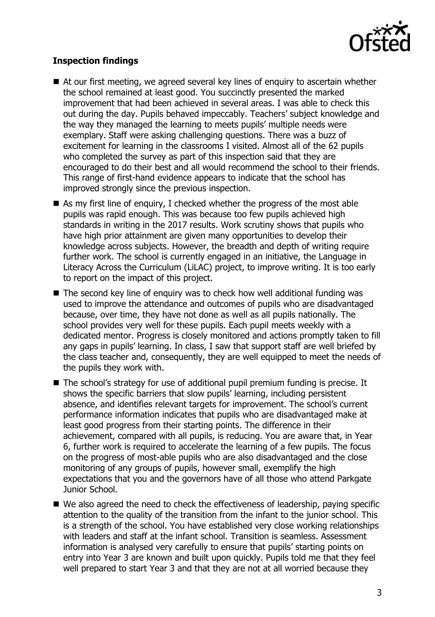

# **Inspection findings**

- At our first meeting, we agreed several key lines of enguiry to ascertain whether the school remained at least good. You succinctly presented the marked improvement that had been achieved in several areas. I was able to check this out during the day. Pupils behaved impeccably. Teachers' subject knowledge and the way they managed the learning to meets pupils' multiple needs were exemplary. Staff were asking challenging questions. There was a buzz of excitement for learning in the classrooms I visited. Almost all of the 62 pupils who completed the survey as part of this inspection said that they are encouraged to do their best and all would recommend the school to their friends. This range of first-hand evidence appears to indicate that the school has improved strongly since the previous inspection.
- As my first line of enquiry, I checked whether the progress of the most able pupils was rapid enough. This was because too few pupils achieved high standards in writing in the 2017 results. Work scrutiny shows that pupils who have high prior attainment are given many opportunities to develop their knowledge across subjects. However, the breadth and depth of writing require further work. The school is currently engaged in an initiative, the Language in Literacy Across the Curriculum (LiLAC) project, to improve writing. It is too early to report on the impact of this project.
- The second key line of enquiry was to check how well additional funding was used to improve the attendance and outcomes of pupils who are disadvantaged because, over time, they have not done as well as all pupils nationally. The school provides very well for these pupils. Each pupil meets weekly with a dedicated mentor. Progress is closely monitored and actions promptly taken to fill any gaps in pupils' learning. In class, I saw that support staff are well briefed by the class teacher and, consequently, they are well equipped to meet the needs of the pupils they work with.
- The school's strategy for use of additional pupil premium funding is precise. It shows the specific barriers that slow pupils' learning, including persistent absence, and identifies relevant targets for improvement. The school's current performance information indicates that pupils who are disadvantaged make at least good progress from their starting points. The difference in their achievement, compared with all pupils, is reducing. You are aware that, in Year 6, further work is required to accelerate the learning of a few pupils. The focus on the progress of most-able pupils who are also disadvantaged and the close monitoring of any groups of pupils, however small, exemplify the high expectations that you and the governors have of all those who attend Parkgate Junior School.
- We also agreed the need to check the effectiveness of leadership, paying specific attention to the quality of the transition from the infant to the junior school. This is a strength of the school. You have established very close working relationships with leaders and staff at the infant school. Transition is seamless. Assessment information is analysed very carefully to ensure that pupils' starting points on entry into Year 3 are known and built upon quickly. Pupils told me that they feel well prepared to start Year 3 and that they are not at all worried because they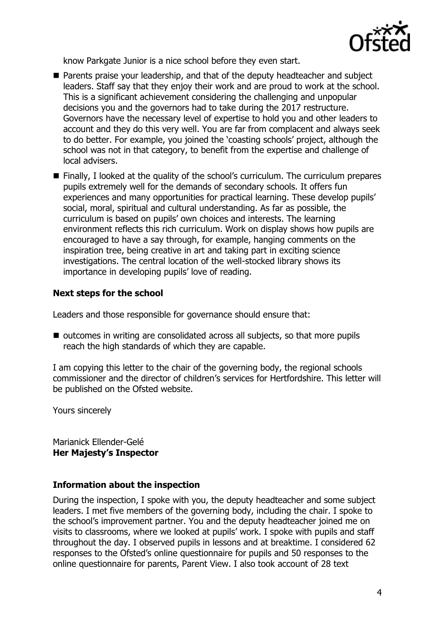

know Parkgate Junior is a nice school before they even start.

- **Parents praise your leadership, and that of the deputy headteacher and subject** leaders. Staff say that they enjoy their work and are proud to work at the school. This is a significant achievement considering the challenging and unpopular decisions you and the governors had to take during the 2017 restructure. Governors have the necessary level of expertise to hold you and other leaders to account and they do this very well. You are far from complacent and always seek to do better. For example, you joined the 'coasting schools' project, although the school was not in that category, to benefit from the expertise and challenge of local advisers.
- Finally, I looked at the quality of the school's curriculum. The curriculum prepares pupils extremely well for the demands of secondary schools. It offers fun experiences and many opportunities for practical learning. These develop pupils' social, moral, spiritual and cultural understanding. As far as possible, the curriculum is based on pupils' own choices and interests. The learning environment reflects this rich curriculum. Work on display shows how pupils are encouraged to have a say through, for example, hanging comments on the inspiration tree, being creative in art and taking part in exciting science investigations. The central location of the well-stocked library shows its importance in developing pupils' love of reading.

## **Next steps for the school**

Leaders and those responsible for governance should ensure that:

 $\blacksquare$  outcomes in writing are consolidated across all subjects, so that more pupils reach the high standards of which they are capable.

I am copying this letter to the chair of the governing body, the regional schools commissioner and the director of children's services for Hertfordshire. This letter will be published on the Ofsted website.

Yours sincerely

Marianick Ellender-Gelé **Her Majesty's Inspector**

## **Information about the inspection**

During the inspection, I spoke with you, the deputy headteacher and some subject leaders. I met five members of the governing body, including the chair. I spoke to the school's improvement partner. You and the deputy headteacher joined me on visits to classrooms, where we looked at pupils' work. I spoke with pupils and staff throughout the day. I observed pupils in lessons and at breaktime. I considered 62 responses to the Ofsted's online questionnaire for pupils and 50 responses to the online questionnaire for parents, Parent View. I also took account of 28 text